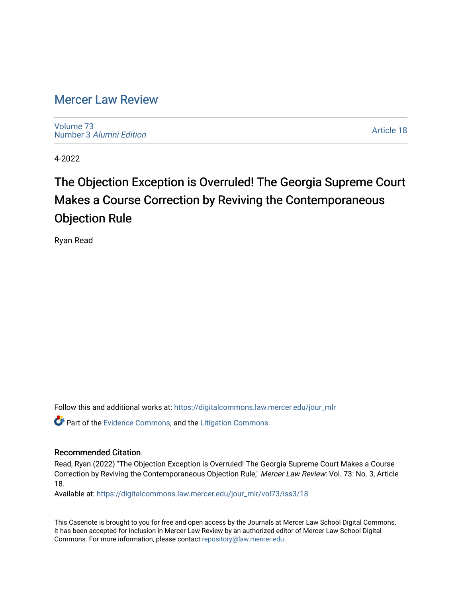# [Mercer Law Review](https://digitalcommons.law.mercer.edu/jour_mlr)

[Volume 73](https://digitalcommons.law.mercer.edu/jour_mlr/vol73) Number 3 [Alumni Edition](https://digitalcommons.law.mercer.edu/jour_mlr/vol73/iss3) 

[Article 18](https://digitalcommons.law.mercer.edu/jour_mlr/vol73/iss3/18) 

4-2022

# The Objection Exception is Overruled! The Georgia Supreme Court Makes a Course Correction by Reviving the Contemporaneous Objection Rule

Ryan Read

Follow this and additional works at: [https://digitalcommons.law.mercer.edu/jour\\_mlr](https://digitalcommons.law.mercer.edu/jour_mlr?utm_source=digitalcommons.law.mercer.edu%2Fjour_mlr%2Fvol73%2Fiss3%2F18&utm_medium=PDF&utm_campaign=PDFCoverPages)

Part of the [Evidence Commons,](http://network.bepress.com/hgg/discipline/601?utm_source=digitalcommons.law.mercer.edu%2Fjour_mlr%2Fvol73%2Fiss3%2F18&utm_medium=PDF&utm_campaign=PDFCoverPages) and the [Litigation Commons](http://network.bepress.com/hgg/discipline/910?utm_source=digitalcommons.law.mercer.edu%2Fjour_mlr%2Fvol73%2Fiss3%2F18&utm_medium=PDF&utm_campaign=PDFCoverPages) 

# Recommended Citation

Read, Ryan (2022) "The Objection Exception is Overruled! The Georgia Supreme Court Makes a Course Correction by Reviving the Contemporaneous Objection Rule," Mercer Law Review: Vol. 73: No. 3, Article 18.

Available at: [https://digitalcommons.law.mercer.edu/jour\\_mlr/vol73/iss3/18](https://digitalcommons.law.mercer.edu/jour_mlr/vol73/iss3/18?utm_source=digitalcommons.law.mercer.edu%2Fjour_mlr%2Fvol73%2Fiss3%2F18&utm_medium=PDF&utm_campaign=PDFCoverPages) 

This Casenote is brought to you for free and open access by the Journals at Mercer Law School Digital Commons. It has been accepted for inclusion in Mercer Law Review by an authorized editor of Mercer Law School Digital Commons. For more information, please contact [repository@law.mercer.edu.](mailto:repository@law.mercer.edu)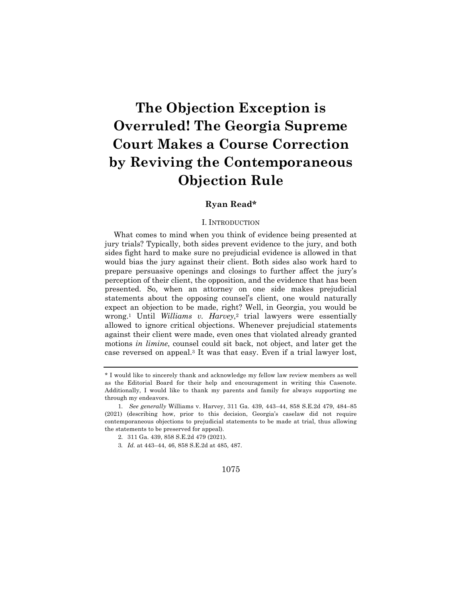# **The Objection Exception is Overruled! The Georgia Supreme Court Makes a Course Correction by Reviving the Contemporaneous Objection Rule**

# **Ryan Read\***

#### I. INTRODUCTION

What comes to mind when you think of evidence being presented at jury trials? Typically, both sides prevent evidence to the jury, and both sides fight hard to make sure no prejudicial evidence is allowed in that would bias the jury against their client. Both sides also work hard to prepare persuasive openings and closings to further affect the jury's perception of their client, the opposition, and the evidence that has been presented. So, when an attorney on one side makes prejudicial statements about the opposing counsel's client, one would naturally expect an objection to be made, right? Well, in Georgia, you would be wrong.1 Until *Williams v. Harvey*,2 trial lawyers were essentially allowed to ignore critical objections. Whenever prejudicial statements against their client were made, even ones that violated already granted motions *in limine*, counsel could sit back, not object, and later get the case reversed on appeal.3 It was that easy. Even if a trial lawyer lost,

### 1075

<sup>\*</sup> I would like to sincerely thank and acknowledge my fellow law review members as well as the Editorial Board for their help and encouragement in writing this Casenote. Additionally, I would like to thank my parents and family for always supporting me through my endeavors.

<sup>1.</sup> *See generally* Williams v. Harvey, 311 Ga. 439, 443–44, 858 S.E.2d 479, 484–85 (2021) (describing how, prior to this decision, Georgia's caselaw did not require contemporaneous objections to prejudicial statements to be made at trial, thus allowing the statements to be preserved for appeal).

<sup>2.</sup> 311 Ga. 439, 858 S.E.2d 479 (2021).

<sup>3</sup>*. Id.* at 443–44, 46, 858 S.E.2d at 485, 487.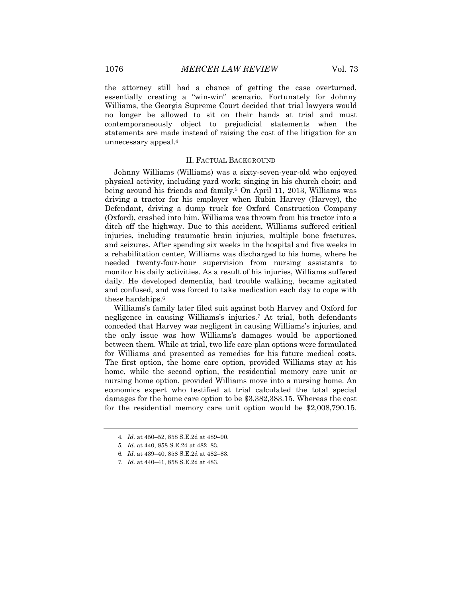the attorney still had a chance of getting the case overturned, essentially creating a "win-win" scenario. Fortunately for Johnny Williams, the Georgia Supreme Court decided that trial lawyers would no longer be allowed to sit on their hands at trial and must contemporaneously object to prejudicial statements when the statements are made instead of raising the cost of the litigation for an unnecessary appeal.4

#### II. FACTUAL BACKGROUND

Johnny Williams (Williams) was a sixty-seven-year-old who enjoyed physical activity, including yard work; singing in his church choir; and being around his friends and family.<sup>5</sup> On April 11, 2013, Williams was driving a tractor for his employer when Rubin Harvey (Harvey), the Defendant, driving a dump truck for Oxford Construction Company (Oxford), crashed into him. Williams was thrown from his tractor into a ditch off the highway. Due to this accident, Williams suffered critical injuries, including traumatic brain injuries, multiple bone fractures, and seizures. After spending six weeks in the hospital and five weeks in a rehabilitation center, Williams was discharged to his home, where he needed twenty-four-hour supervision from nursing assistants to monitor his daily activities. As a result of his injuries, Williams suffered daily. He developed dementia, had trouble walking, became agitated and confused, and was forced to take medication each day to cope with these hardships.6

Williams's family later filed suit against both Harvey and Oxford for negligence in causing Williams's injuries.7 At trial, both defendants conceded that Harvey was negligent in causing Williams's injuries, and the only issue was how Williams's damages would be apportioned between them. While at trial, two life care plan options were formulated for Williams and presented as remedies for his future medical costs. The first option, the home care option, provided Williams stay at his home, while the second option, the residential memory care unit or nursing home option, provided Williams move into a nursing home. An economics expert who testified at trial calculated the total special damages for the home care option to be \$3,382,383.15. Whereas the cost for the residential memory care unit option would be \$2,008,790.15.

<sup>4</sup>*. Id.* at 450–52, 858 S.E.2d at 489–90.

<sup>5</sup>*. Id.* at 440, 858 S.E.2d at 482–83.

<sup>6</sup>*. Id.* at 439–40, 858 S.E.2d at 482–83.

<sup>7</sup>*. Id.* at 440–41, 858 S.E.2d at 483.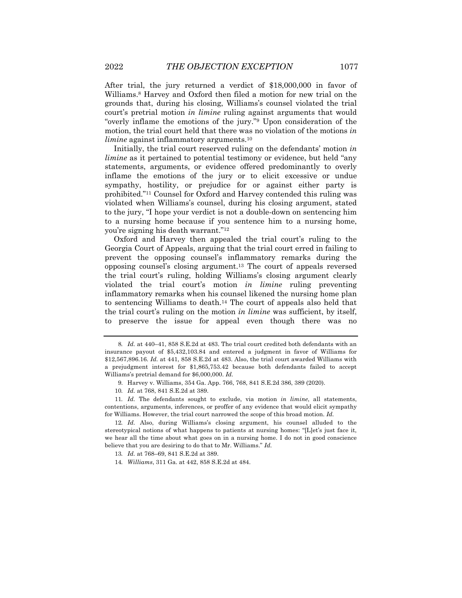After trial, the jury returned a verdict of \$18,000,000 in favor of Williams.8 Harvey and Oxford then filed a motion for new trial on the grounds that, during his closing, Williams's counsel violated the trial court's pretrial motion *in limine* ruling against arguments that would "overly inflame the emotions of the jury."9 Upon consideration of the motion, the trial court held that there was no violation of the motions *in limine* against inflammatory arguments.<sup>10</sup>

Initially, the trial court reserved ruling on the defendants' motion *in limine* as it pertained to potential testimony or evidence, but held "any statements, arguments, or evidence offered predominantly to overly inflame the emotions of the jury or to elicit excessive or undue sympathy, hostility, or prejudice for or against either party is prohibited."11 Counsel for Oxford and Harvey contended this ruling was violated when Williams's counsel, during his closing argument, stated to the jury, "I hope your verdict is not a double-down on sentencing him to a nursing home because if you sentence him to a nursing home, you're signing his death warrant."12

Oxford and Harvey then appealed the trial court's ruling to the Georgia Court of Appeals, arguing that the trial court erred in failing to prevent the opposing counsel's inflammatory remarks during the opposing counsel's closing argument.13 The court of appeals reversed the trial court's ruling, holding Williams's closing argument clearly violated the trial court's motion *in limine* ruling preventing inflammatory remarks when his counsel likened the nursing home plan to sentencing Williams to death.14 The court of appeals also held that the trial court's ruling on the motion *in limine* was sufficient, by itself, to preserve the issue for appeal even though there was no

<sup>8</sup>*. Id.* at 440–41, 858 S.E.2d at 483. The trial court credited both defendants with an insurance payout of \$5,432,103.84 and entered a judgment in favor of Williams for \$12,567,896.16. *Id.* at 441, 858 S.E.2d at 483. Also, the trial court awarded Williams with a prejudgment interest for \$1,865,753.42 because both defendants failed to accept Williams's pretrial demand for \$6,000,000. *Id.*

<sup>9.</sup> Harvey v. Williams, 354 Ga. App. 766, 768, 841 S.E.2d 386, 389 (2020).

<sup>10</sup>*. Id.* at 768, 841 S.E.2d at 389.

<sup>11</sup>*. Id.* The defendants sought to exclude, via motion *in limine*, all statements, contentions, arguments, inferences, or proffer of any evidence that would elicit sympathy for Williams. However, the trial court narrowed the scope of this broad motion. *Id.*

<sup>12</sup>*. Id.* Also, during Williams's closing argument, his counsel alluded to the stereotypical notions of what happens to patients at nursing homes: "[L]et's just face it, we hear all the time about what goes on in a nursing home. I do not in good conscience believe that you are desiring to do that to Mr. Williams." *Id.*

<sup>13</sup>*. Id.* at 768–69, 841 S.E.2d at 389.

<sup>14</sup>*. Williams*, 311 Ga. at 442, 858 S.E.2d at 484.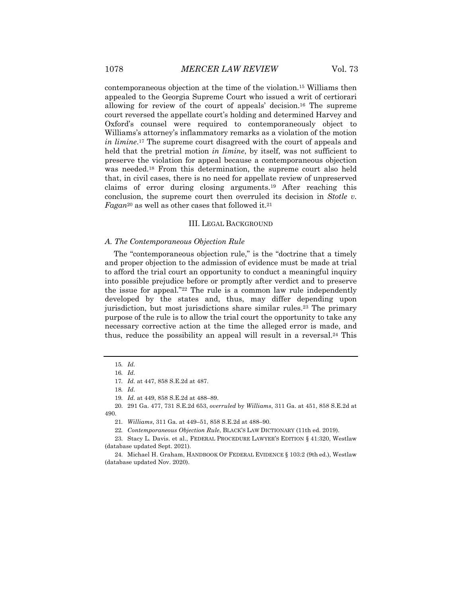contemporaneous objection at the time of the violation.15 Williams then appealed to the Georgia Supreme Court who issued a writ of certiorari allowing for review of the court of appeals' decision.16 The supreme court reversed the appellate court's holding and determined Harvey and Oxford's counsel were required to contemporaneously object to Williams's attorney's inflammatory remarks as a violation of the motion *in limine*.17 The supreme court disagreed with the court of appeals and held that the pretrial motion *in limine*, by itself, was not sufficient to preserve the violation for appeal because a contemporaneous objection was needed.18 From this determination, the supreme court also held that, in civil cases, there is no need for appellate review of unpreserved claims of error during closing arguments.19 After reaching this conclusion, the supreme court then overruled its decision in *Stotle v. Fagan*<sup>20</sup> as well as other cases that followed it.21

#### III. LEGAL BACKGROUND

#### *A. The Contemporaneous Objection Rule*

The "contemporaneous objection rule," is the "doctrine that a timely and proper objection to the admission of evidence must be made at trial to afford the trial court an opportunity to conduct a meaningful inquiry into possible prejudice before or promptly after verdict and to preserve the issue for appeal."22 The rule is a common law rule independently developed by the states and, thus, may differ depending upon jurisdiction, but most jurisdictions share similar rules.<sup>23</sup> The primary purpose of the rule is to allow the trial court the opportunity to take any necessary corrective action at the time the alleged error is made, and thus, reduce the possibility an appeal will result in a reversal.<sup>24</sup> This

<sup>15</sup>*. Id.*

<sup>16</sup>*. Id.*

<sup>17</sup>*. Id.* at 447, 858 S.E.2d at 487.

<sup>18</sup>*. Id.*

<sup>19</sup>*. Id.* at 449, 858 S.E.2d at 488–89.

<sup>20.</sup> 291 Ga. 477, 731 S.E.2d 653, *overruled* by *Williams*, 311 Ga. at 451, 858 S.E.2d at 490.

<sup>21</sup>*. Williams*, 311 Ga. at 449–51, 858 S.E.2d at 488–90.

<sup>22</sup>*. Contemporaneous Objection Rule*, BLACK'S LAW DICTIONARY (11th ed. 2019).

<sup>23.</sup> Stacy L. Davis. et al., FEDERAL PROCEDURE LAWYER'S EDITION § 41:320, Westlaw (database updated Sept. 2021).

<sup>24.</sup> Michael H. Graham, HANDBOOK OF FEDERAL EVIDENCE § 103:2 (9th ed.), Westlaw (database updated Nov. 2020).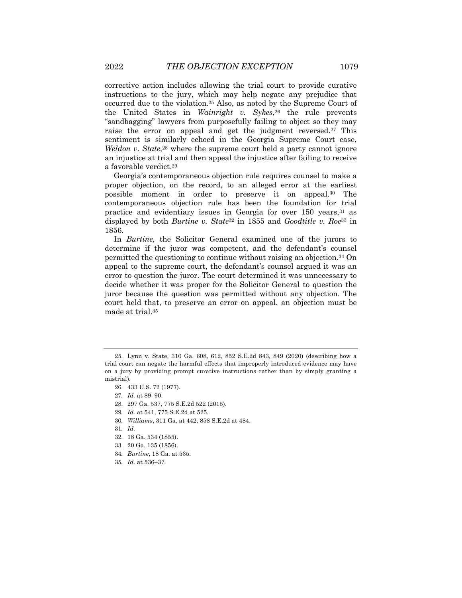corrective action includes allowing the trial court to provide curative instructions to the jury, which may help negate any prejudice that occurred due to the violation.25 Also, as noted by the Supreme Court of the United States in *Wainright v. Sykes*,26 the rule prevents "sandbagging" lawyers from purposefully failing to object so they may raise the error on appeal and get the judgment reversed.27 This sentiment is similarly echoed in the Georgia Supreme Court case, *Weldon v. State*,<sup>28</sup> where the supreme court held a party cannot ignore an injustice at trial and then appeal the injustice after failing to receive a favorable verdict.29

Georgia's contemporaneous objection rule requires counsel to make a proper objection, on the record, to an alleged error at the earliest possible moment in order to preserve it on appeal.30 The contemporaneous objection rule has been the foundation for trial practice and evidentiary issues in Georgia for over 150 years, 31 as displayed by both *Burtine v. State*<sup>32</sup> in 1855 and *Goodtitle v. Roe*<sup>33</sup> in 1856.

In *Burtine,* the Solicitor General examined one of the jurors to determine if the juror was competent, and the defendant's counsel permitted the questioning to continue without raising an objection.34 On appeal to the supreme court, the defendant's counsel argued it was an error to question the juror. The court determined it was unnecessary to decide whether it was proper for the Solicitor General to question the juror because the question was permitted without any objection. The court held that, to preserve an error on appeal, an objection must be made at trial.35

- 29*. Id.* at 541, 775 S.E.2d at 525.
- 30*. Williams*, 311 Ga. at 442, 858 S.E.2d at 484.

31*. Id.*

- 32. 18 Ga. 534 (1855).
- 33. 20 Ga. 135 (1856).
- 34*. Burtine*, 18 Ga. at 535.
- 35*. Id.* at 536–37*.*

<sup>25.</sup> Lynn v. State, 310 Ga. 608, 612, 852 S.E.2d 843, 849 (2020) (describing how a trial court can negate the harmful effects that improperly introduced evidence may have on a jury by providing prompt curative instructions rather than by simply granting a mistrial).

<sup>26.</sup> 433 U.S. 72 (1977).

<sup>27</sup>*. Id.* at 89–90.

<sup>28.</sup> 297 Ga. 537, 775 S.E.2d 522 (2015).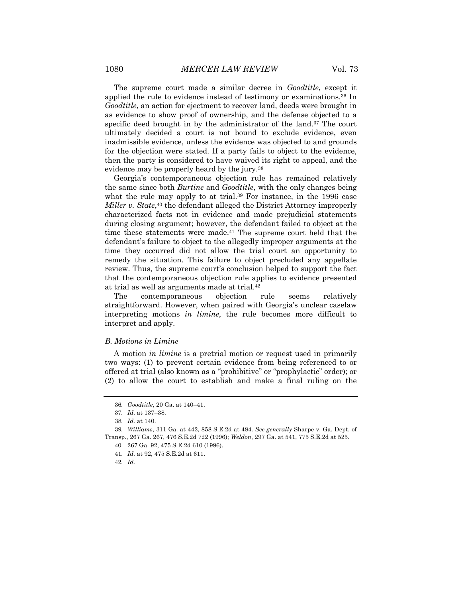The supreme court made a similar decree in *Goodtitle*, except it applied the rule to evidence instead of testimony or examinations.36 In *Goodtitle*, an action for ejectment to recover land, deeds were brought in as evidence to show proof of ownership, and the defense objected to a specific deed brought in by the administrator of the land.<sup>37</sup> The court ultimately decided a court is not bound to exclude evidence, even inadmissible evidence, unless the evidence was objected to and grounds for the objection were stated. If a party fails to object to the evidence, then the party is considered to have waived its right to appeal, and the evidence may be properly heard by the jury.38

Georgia's contemporaneous objection rule has remained relatively the same since both *Burtine* and *Goodtitle*, with the only changes being what the rule may apply to at trial.<sup>39</sup> For instance, in the 1996 case *Miller v. State*,40 the defendant alleged the District Attorney improperly characterized facts not in evidence and made prejudicial statements during closing argument; however, the defendant failed to object at the time these statements were made.<sup>41</sup> The supreme court held that the defendant's failure to object to the allegedly improper arguments at the time they occurred did not allow the trial court an opportunity to remedy the situation. This failure to object precluded any appellate review. Thus, the supreme court's conclusion helped to support the fact that the contemporaneous objection rule applies to evidence presented at trial as well as arguments made at trial.42

The contemporaneous objection rule seems relatively straightforward. However, when paired with Georgia's unclear caselaw interpreting motions *in limine*, the rule becomes more difficult to interpret and apply.

### *B. Motions in Limine*

A motion *in limine* is a pretrial motion or request used in primarily two ways: (1) to prevent certain evidence from being referenced to or offered at trial (also known as a "prohibitive" or "prophylactic" order); or (2) to allow the court to establish and make a final ruling on the

<sup>36</sup>*. Goodtitle*, 20 Ga. at 140–41.

<sup>37</sup>*. Id.* at 137–38.

<sup>38</sup>*. Id.* at 140.

<sup>39</sup>*. Williams*, 311 Ga. at 442, 858 S.E.2d at 484. *See generally* Sharpe v. Ga. Dept. of Transp., 267 Ga. 267, 476 S.E.2d 722 (1996); *Weldon*, 297 Ga. at 541, 775 S.E.2d at 525.

<sup>40.</sup> 267 Ga. 92, 475 S.E.2d 610 (1996).

<sup>41</sup>*. Id.* at 92, 475 S.E.2d at 611.

<sup>42</sup>*. Id.*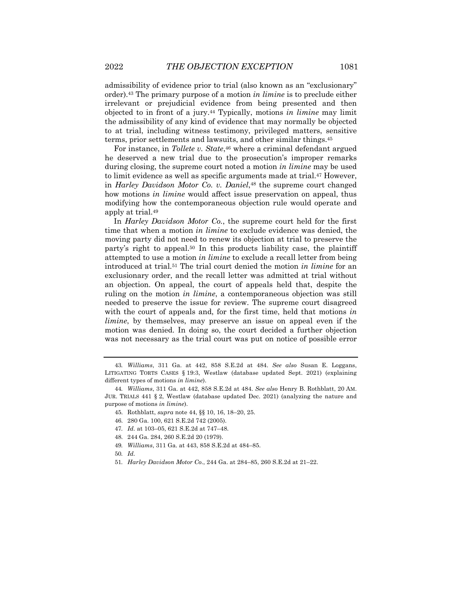admissibility of evidence prior to trial (also known as an "exclusionary" order).43 The primary purpose of a motion *in limine* is to preclude either irrelevant or prejudicial evidence from being presented and then objected to in front of a jury.44 Typically, motions *in limine* may limit the admissibility of any kind of evidence that may normally be objected to at trial, including witness testimony, privileged matters, sensitive terms, prior settlements and lawsuits, and other similar things.45

For instance, in *Tollete v. State*,<sup>46</sup> where a criminal defendant argued he deserved a new trial due to the prosecution's improper remarks during closing, the supreme court noted a motion *in limine* may be used to limit evidence as well as specific arguments made at trial.<sup>47</sup> However, in *Harley Davidson Motor Co. v. Daniel*,48 the supreme court changed how motions *in limine* would affect issue preservation on appeal, thus modifying how the contemporaneous objection rule would operate and apply at trial.49

In *Harley Davidson Motor Co.*, the supreme court held for the first time that when a motion *in limine* to exclude evidence was denied, the moving party did not need to renew its objection at trial to preserve the party's right to appeal.50 In this products liability case, the plaintiff attempted to use a motion *in limine* to exclude a recall letter from being introduced at trial.51 The trial court denied the motion *in limine* for an exclusionary order, and the recall letter was admitted at trial without an objection. On appeal, the court of appeals held that, despite the ruling on the motion *in limine*, a contemporaneous objection was still needed to preserve the issue for review. The supreme court disagreed with the court of appeals and, for the first time, held that motions *in limine*, by themselves, may preserve an issue on appeal even if the motion was denied. In doing so, the court decided a further objection was not necessary as the trial court was put on notice of possible error

51*. Harley Davidson Motor Co.*, 244 Ga. at 284–85, 260 S.E.2d at 21–22.

<sup>43</sup>*. Williams*, 311 Ga. at 442, 858 S.E.2d at 484. *See also* Susan E. Loggans, LITIGATING TORTS CASES § 19:3, Westlaw (database updated Sept. 2021) (explaining different types of motions *in limine*).

<sup>44</sup>*. Williams*, 311 Ga. at 442, 858 S.E.2d at 484. *See also* Henry B. Rothblatt, 20 AM. JUR. TRIALS 441 § 2, Westlaw (database updated Dec. 2021) (analyzing the nature and purpose of motions *in limine*).

<sup>45.</sup> Rothblatt, *supra* note 44, §§ 10, 16, 18–20, 25.

<sup>46.</sup> 280 Ga. 100, 621 S.E.2d 742 (2005).

<sup>47</sup>*. Id.* at 103–05, 621 S.E.2d at 747–48.

<sup>48.</sup> 244 Ga. 284, 260 S.E.2d 20 (1979).

<sup>49</sup>*. Williams*, 311 Ga. at 443, 858 S.E.2d at 484–85.

<sup>50</sup>*. Id.*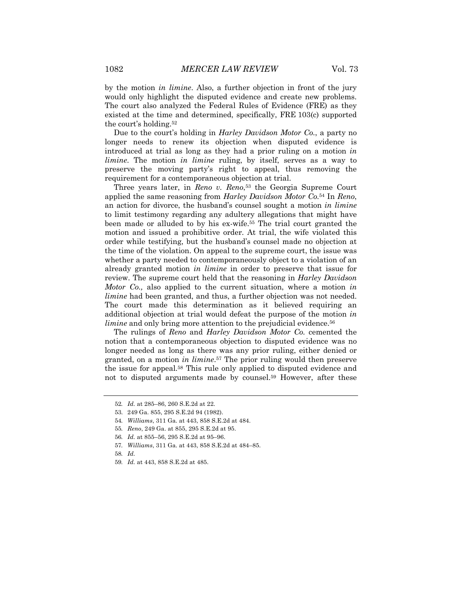by the motion *in limine*. Also, a further objection in front of the jury would only highlight the disputed evidence and create new problems. The court also analyzed the Federal Rules of Evidence (FRE) as they existed at the time and determined, specifically, FRE 103(c) supported the court's holding.52

Due to the court's holding in *Harley Davidson Motor Co.*, a party no longer needs to renew its objection when disputed evidence is introduced at trial as long as they had a prior ruling on a motion *in limine*. The motion *in limine* ruling, by itself, serves as a way to preserve the moving party's right to appeal, thus removing the requirement for a contemporaneous objection at trial.

Three years later, in *Reno v. Reno*,<sup>53</sup> the Georgia Supreme Court applied the same reasoning from *Harley Davidson Motor Co.*<sup>54</sup> In *Reno*, an action for divorce, the husband's counsel sought a motion *in limine* to limit testimony regarding any adultery allegations that might have been made or alluded to by his ex-wife.55 The trial court granted the motion and issued a prohibitive order. At trial, the wife violated this order while testifying, but the husband's counsel made no objection at the time of the violation. On appeal to the supreme court, the issue was whether a party needed to contemporaneously object to a violation of an already granted motion *in limine* in order to preserve that issue for review. The supreme court held that the reasoning in *Harley Davidson Motor Co.,* also applied to the current situation, where a motion *in limine* had been granted, and thus, a further objection was not needed. The court made this determination as it believed requiring an additional objection at trial would defeat the purpose of the motion *in limine* and only bring more attention to the prejudicial evidence.<sup>56</sup>

The rulings of *Reno* and *Harley Davidson Motor Co.* cemented the notion that a contemporaneous objection to disputed evidence was no longer needed as long as there was any prior ruling, either denied or granted, on a motion *in limine*.57 The prior ruling would then preserve the issue for appeal.58 This rule only applied to disputed evidence and not to disputed arguments made by counsel.59 However, after these

58*. Id.*

<sup>52</sup>*. Id.* at 285–86, 260 S.E.2d at 22.

<sup>53.</sup> 249 Ga. 855, 295 S.E.2d 94 (1982).

<sup>54</sup>*. Williams*, 311 Ga. at 443, 858 S.E.2d at 484.

<sup>55</sup>*. Reno*, 249 Ga. at 855, 295 S.E.2d at 95.

<sup>56</sup>*. Id.* at 855–56, 295 S.E.2d at 95–96.

<sup>57</sup>*. Williams*, 311 Ga. at 443, 858 S.E.2d at 484–85.

<sup>59</sup>*. Id.* at 443, 858 S.E.2d at 485.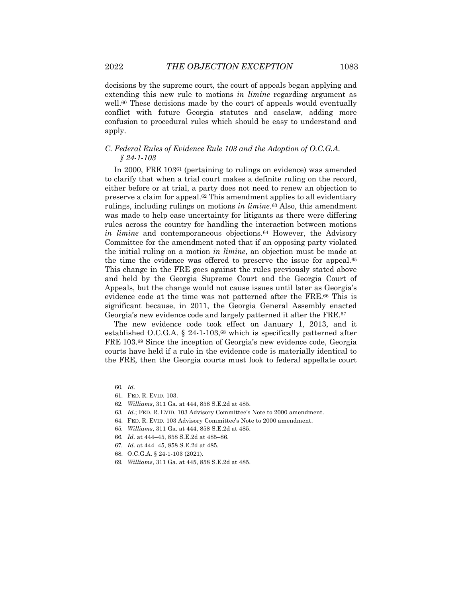decisions by the supreme court, the court of appeals began applying and extending this new rule to motions *in limine* regarding argument as well.<sup>60</sup> These decisions made by the court of appeals would eventually conflict with future Georgia statutes and caselaw, adding more confusion to procedural rules which should be easy to understand and apply.

# *C. Federal Rules of Evidence Rule 103 and the Adoption of O.C.G.A. § 24-1-103*

In 2000, FRE 10361 (pertaining to rulings on evidence) was amended to clarify that when a trial court makes a definite ruling on the record, either before or at trial, a party does not need to renew an objection to preserve a claim for appeal.62 This amendment applies to all evidentiary rulings, including rulings on motions *in limine*.63 Also, this amendment was made to help ease uncertainty for litigants as there were differing rules across the country for handling the interaction between motions *in limine* and contemporaneous objections.<sup>64</sup> However, the Advisory Committee for the amendment noted that if an opposing party violated the initial ruling on a motion *in limine*, an objection must be made at the time the evidence was offered to preserve the issue for appeal.65 This change in the FRE goes against the rules previously stated above and held by the Georgia Supreme Court and the Georgia Court of Appeals, but the change would not cause issues until later as Georgia's evidence code at the time was not patterned after the FRE.66 This is significant because, in 2011, the Georgia General Assembly enacted Georgia's new evidence code and largely patterned it after the FRE.67

The new evidence code took effect on January 1, 2013, and it established O.C.G.A. § 24-1-103,68 which is specifically patterned after FRE 103.69 Since the inception of Georgia's new evidence code, Georgia courts have held if a rule in the evidence code is materially identical to the FRE, then the Georgia courts must look to federal appellate court

<sup>60</sup>*. Id.*

<sup>61.</sup> FED. R. EVID. 103.

<sup>62</sup>*. Williams*, 311 Ga. at 444, 858 S.E.2d at 485.

<sup>63</sup>*. Id.*; FED. R. EVID. 103 Advisory Committee's Note to 2000 amendment.

<sup>64.</sup> FED. R. EVID. 103 Advisory Committee's Note to 2000 amendment.

<sup>65</sup>*. Williams*, 311 Ga. at 444, 858 S.E.2d at 485.

<sup>66</sup>*. Id.* at 444–45, 858 S.E.2d at 485–86.

<sup>67</sup>*. Id.* at 444–45, 858 S.E.2d at 485.

<sup>68.</sup> O.C.G.A. § 24-1-103 (2021).

<sup>69</sup>*. Williams*, 311 Ga. at 445, 858 S.E.2d at 485.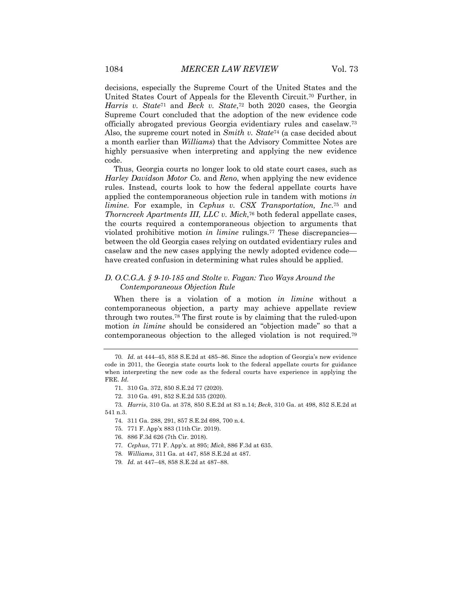decisions, especially the Supreme Court of the United States and the United States Court of Appeals for the Eleventh Circuit.70 Further, in *Harris v. State*<sup>71</sup> and *Beck v. State*,72 both 2020 cases, the Georgia Supreme Court concluded that the adoption of the new evidence code officially abrogated previous Georgia evidentiary rules and caselaw.73 Also, the supreme court noted in *Smith v. State*<sup>74</sup> (a case decided about a month earlier than *Williams*) that the Advisory Committee Notes are highly persuasive when interpreting and applying the new evidence code.

Thus, Georgia courts no longer look to old state court cases, such as *Harley Davidson Motor Co.* and *Reno*, when applying the new evidence rules. Instead, courts look to how the federal appellate courts have applied the contemporaneous objection rule in tandem with motions *in limine*. For example, in *Cephus v. CSX Transportation, Inc*.75 and *Thorncreek Apartments III, LLC v. Mick*,76 both federal appellate cases, the courts required a contemporaneous objection to arguments that violated prohibitive motion *in limine* rulings.77 These discrepancies between the old Georgia cases relying on outdated evidentiary rules and caselaw and the new cases applying the newly adopted evidence code have created confusion in determining what rules should be applied.

# *D. O.C.G.A. § 9-10-185 and Stolte v. Fagan: Two Ways Around the Contemporaneous Objection Rule*

When there is a violation of a motion *in limine* without a contemporaneous objection, a party may achieve appellate review through two routes.78 The first route is by claiming that the ruled-upon motion *in limine* should be considered an "objection made" so that a contemporaneous objection to the alleged violation is not required.79

- 78*. Williams*, 311 Ga. at 447, 858 S.E.2d at 487.
- 79*. Id.* at 447–48, 858 S.E.2d at 487–88.

<sup>70</sup>*. Id.* at 444–45, 858 S.E.2d at 485–86. Since the adoption of Georgia's new evidence code in 2011, the Georgia state courts look to the federal appellate courts for guidance when interpreting the new code as the federal courts have experience in applying the FRE. *Id.*

<sup>71.</sup> 310 Ga. 372, 850 S.E.2d 77 (2020).

<sup>72.</sup> 310 Ga. 491, 852 S.E.2d 535 (2020).

<sup>73</sup>*. Harris*, 310 Ga. at 378, 850 S.E.2d at 83 n.14; *Beck*, 310 Ga. at 498, 852 S.E.2d at 541 n.3.

<sup>74.</sup> 311 Ga. 288, 291, 857 S.E.2d 698, 700 n.4.

<sup>75.</sup> 771 F. App'x 883 (11th Cir. 2019).

<sup>76.</sup> 886 F.3d 626 (7th Cir. 2018).

<sup>77</sup>*. Cephus*, 771 F. App'x. at 895; *Mick*, 886 F.3d at 635.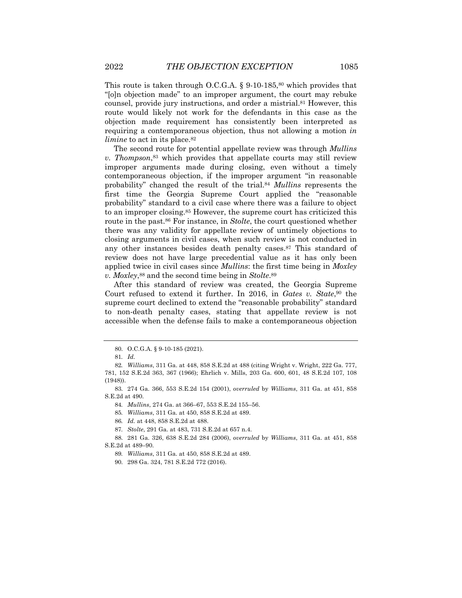This route is taken through O.C.G.A.  $\S$  9-10-185,<sup>80</sup> which provides that "[o]n objection made" to an improper argument, the court may rebuke counsel, provide jury instructions, and order a mistrial.81 However, this route would likely not work for the defendants in this case as the objection made requirement has consistently been interpreted as requiring a contemporaneous objection, thus not allowing a motion *in limine* to act in its place.<sup>82</sup>

The second route for potential appellate review was through *Mullins v. Thompson*,<sup>83</sup> which provides that appellate courts may still review improper arguments made during closing, even without a timely contemporaneous objection, if the improper argument "in reasonable probability" changed the result of the trial.84 *Mullins* represents the first time the Georgia Supreme Court applied the "reasonable probability" standard to a civil case where there was a failure to object to an improper closing.85 However, the supreme court has criticized this route in the past.86 For instance, in *Stolte*, the court questioned whether there was any validity for appellate review of untimely objections to closing arguments in civil cases, when such review is not conducted in any other instances besides death penalty cases.87 This standard of review does not have large precedential value as it has only been applied twice in civil cases since *Mullins*: the first time being in *Moxley v. Moxley*,88 and the second time being in *Stolte*.89

After this standard of review was created, the Georgia Supreme Court refused to extend it further. In 2016, in *Gates v. State*,90 the supreme court declined to extend the "reasonable probability" standard to non-death penalty cases, stating that appellate review is not accessible when the defense fails to make a contemporaneous objection

85*. Williams*, 311 Ga. at 450, 858 S.E.2d at 489.

87*. Stolte*, 291 Ga. at 483, 731 S.E.2d at 657 n.4.

<sup>80.</sup> O.C.G.A. § 9-10-185 (2021).

<sup>81</sup>*. Id.*

<sup>82</sup>*. Williams*, 311 Ga. at 448, 858 S.E.2d at 488 (citing Wright v. Wright, 222 Ga. 777, 781, 152 S.E.2d 363, 367 (1966); Ehrlich v. Mills, 203 Ga. 600, 601, 48 S.E.2d 107, 108 (1948)).

<sup>83.</sup> 274 Ga. 366, 553 S.E.2d 154 (2001), *overruled* by *Williams*, 311 Ga. at 451, 858 S.E.2d at 490.

<sup>84</sup>*. Mullins*, 274 Ga. at 366–67, 553 S.E.2d 155–56.

<sup>86</sup>*. Id.* at 448, 858 S.E.2d at 488.

<sup>88.</sup> 281 Ga. 326, 638 S.E.2d 284 (2006), *overruled* by *Williams*, 311 Ga. at 451, 858 S.E.2d at 489–90.

<sup>89</sup>*. Williams*, 311 Ga. at 450, 858 S.E.2d at 489.

<sup>90.</sup> 298 Ga. 324, 781 S.E.2d 772 (2016).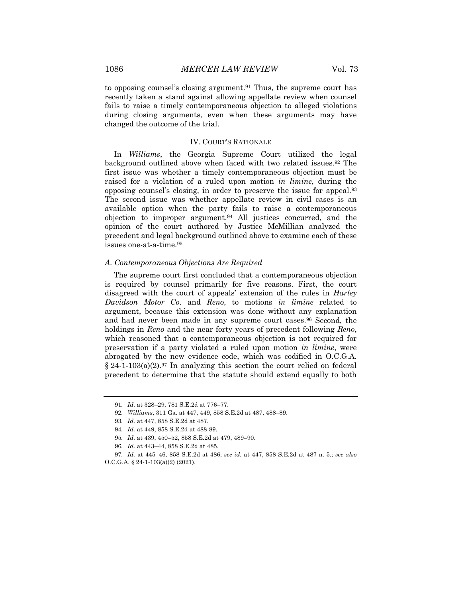to opposing counsel's closing argument.<sup>91</sup> Thus, the supreme court has recently taken a stand against allowing appellate review when counsel fails to raise a timely contemporaneous objection to alleged violations during closing arguments, even when these arguments may have changed the outcome of the trial.

#### IV. COURT'S RATIONALE

In *Williams*, the Georgia Supreme Court utilized the legal background outlined above when faced with two related issues.92 The first issue was whether a timely contemporaneous objection must be raised for a violation of a ruled upon motion *in limine*, during the opposing counsel's closing, in order to preserve the issue for appeal.93 The second issue was whether appellate review in civil cases is an available option when the party fails to raise a contemporaneous objection to improper argument.94 All justices concurred, and the opinion of the court authored by Justice McMillian analyzed the precedent and legal background outlined above to examine each of these issues one-at-a-time.95

#### *A. Contemporaneous Objections Are Required*

The supreme court first concluded that a contemporaneous objection is required by counsel primarily for five reasons. First, the court disagreed with the court of appeals' extension of the rules in *Harley Davidson Motor Co.* and *Reno*, to motions *in limine* related to argument, because this extension was done without any explanation and had never been made in any supreme court cases.96 Second, the holdings in *Reno* and the near forty years of precedent following *Reno*, which reasoned that a contemporaneous objection is not required for preservation if a party violated a ruled upon motion *in limine*, were abrogated by the new evidence code, which was codified in O.C.G.A.  $§$  24-1-103(a)(2).<sup>97</sup> In analyzing this section the court relied on federal precedent to determine that the statute should extend equally to both

<sup>91</sup>*. Id.* at 328–29, 781 S.E.2d at 776–77.

<sup>92</sup>*. Williams*, 311 Ga. at 447, 449, 858 S.E.2d at 487, 488–89.

<sup>93</sup>*. Id.* at 447, 858 S.E.2d at 487.

<sup>94</sup>*. Id.* at 449, 858 S.E.2d at 488-89.

<sup>95</sup>*. Id.* at 439, 450–52, 858 S.E.2d at 479, 489–90.

<sup>96</sup>*. Id.* at 443–44, 858 S.E.2d at 485.

<sup>97</sup>*. Id.* at 445–46, 858 S.E.2d at 486; *see id.* at 447, 858 S.E.2d at 487 n. 5.; *see also* O.C.G.A. § 24-1-103(a)(2) (2021).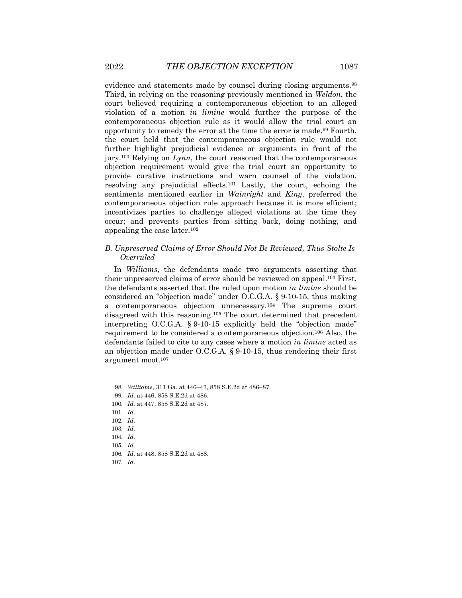evidence and statements made by counsel during closing arguments.98 Third, in relying on the reasoning previously mentioned in *Weldon*, the court believed requiring a contemporaneous objection to an alleged violation of a motion *in limine* would further the purpose of the contemporaneous objection rule as it would allow the trial court an opportunity to remedy the error at the time the error is made.99 Fourth, the court held that the contemporaneous objection rule would not further highlight prejudicial evidence or arguments in front of the jury.100 Relying on *Lynn*, the court reasoned that the contemporaneous objection requirement would give the trial court an opportunity to provide curative instructions and warn counsel of the violation, resolving any prejudicial effects.101 Lastly, the court, echoing the sentiments mentioned earlier in *Wainright* and *King*, preferred the contemporaneous objection rule approach because it is more efficient; incentivizes parties to challenge alleged violations at the time they occur; and prevents parties from sitting back, doing nothing, and appealing the case later.102

# *B. Unpreserved Claims of Error Should Not Be Reviewed, Thus Stolte Is Overruled*

In *Williams*, the defendants made two arguments asserting that their unpreserved claims of error should be reviewed on appeal.103 First, the defendants asserted that the ruled upon motion *in limine* should be considered an "objection made" under O.C.G.A. § 9-10-15, thus making a contemporaneous objection unnecessary.104 The supreme court disagreed with this reasoning.105 The court determined that precedent interpreting O.C.G.A. § 9-10-15 explicitly held the "objection made" requirement to be considered a contemporaneous objection.106 Also, the defendants failed to cite to any cases where a motion *in limine* acted as an objection made under O.C.G.A. § 9-10-15, thus rendering their first argument moot.107

<sup>98</sup>*. Williams*, 311 Ga. at 446–47, 858 S.E.2d at 486–87.

<sup>99</sup>*. Id.* at 446, 858 S.E.2d at 486.

<sup>100</sup>*. Id.* at 447, 858 S.E.2d at 487.

<sup>101</sup>*. Id.*

<sup>102</sup>*. Id.*

<sup>103</sup>*. Id.*

<sup>104</sup>*. Id.*

<sup>105</sup>*. Id.*

<sup>106</sup>*. Id.* at 448, 858 S.E.2d at 488.

<sup>107</sup>*. Id.*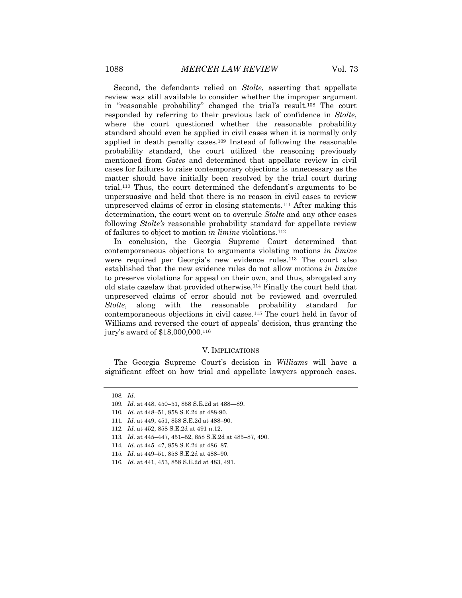Second, the defendants relied on *Stolte*, asserting that appellate review was still available to consider whether the improper argument in "reasonable probability" changed the trial's result.108 The court responded by referring to their previous lack of confidence in *Stolte*, where the court questioned whether the reasonable probability standard should even be applied in civil cases when it is normally only applied in death penalty cases.109 Instead of following the reasonable probability standard, the court utilized the reasoning previously mentioned from *Gates* and determined that appellate review in civil cases for failures to raise contemporary objections is unnecessary as the matter should have initially been resolved by the trial court during trial.110 Thus, the court determined the defendant's arguments to be unpersuasive and held that there is no reason in civil cases to review unpreserved claims of error in closing statements.111 After making this determination, the court went on to overrule *Stolte* and any other cases following *Stolte's* reasonable probability standard for appellate review of failures to object to motion *in limine* violations.112

In conclusion, the Georgia Supreme Court determined that contemporaneous objections to arguments violating motions *in limine* were required per Georgia's new evidence rules.113 The court also established that the new evidence rules do not allow motions *in limine* to preserve violations for appeal on their own, and thus, abrogated any old state caselaw that provided otherwise.114 Finally the court held that unpreserved claims of error should not be reviewed and overruled *Stolte*, along with the reasonable probability standard for contemporaneous objections in civil cases.115 The court held in favor of Williams and reversed the court of appeals' decision, thus granting the jury's award of \$18,000,000.116

#### V. IMPLICATIONS

The Georgia Supreme Court's decision in *Williams* will have a significant effect on how trial and appellate lawyers approach cases.

<sup>108</sup>*. Id.*

<sup>109</sup>*. Id.* at 448, 450–51, 858 S.E.2d at 488—89.

<sup>110</sup>*. Id.* at 448–51, 858 S.E.2d at 488-90.

<sup>111</sup>*. Id.* at 449, 451, 858 S.E.2d at 488–90.

<sup>112</sup>*. Id.* at 452, 858 S.E.2d at 491 n.12.

<sup>113</sup>*. Id.* at 445–447, 451–52, 858 S.E.2d at 485–87, 490.

<sup>114</sup>*. Id.* at 445–47, 858 S.E.2d at 486–87.

<sup>115</sup>*. Id.* at 449–51, 858 S.E.2d at 488–90.

<sup>116</sup>*. Id.* at 441, 453, 858 S.E.2d at 483, 491.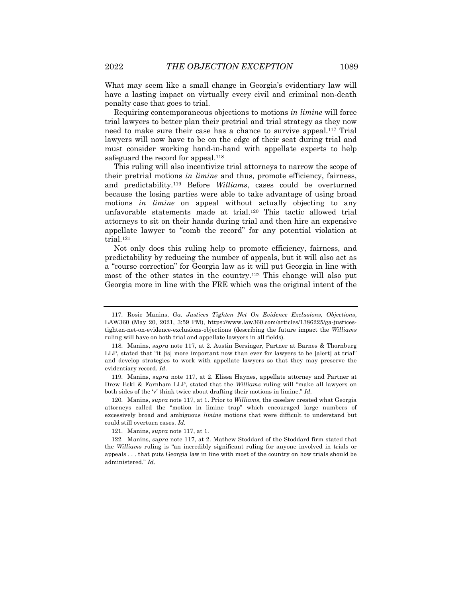What may seem like a small change in Georgia's evidentiary law will have a lasting impact on virtually every civil and criminal non-death penalty case that goes to trial.

Requiring contemporaneous objections to motions *in limine* will force trial lawyers to better plan their pretrial and trial strategy as they now need to make sure their case has a chance to survive appeal.117 Trial lawyers will now have to be on the edge of their seat during trial and must consider working hand-in-hand with appellate experts to help safeguard the record for appeal.<sup>118</sup>

This ruling will also incentivize trial attorneys to narrow the scope of their pretrial motions *in limine* and thus, promote efficiency, fairness, and predictability.119 Before *Williams*, cases could be overturned because the losing parties were able to take advantage of using broad motions *in limine* on appeal without actually objecting to any unfavorable statements made at trial.120 This tactic allowed trial attorneys to sit on their hands during trial and then hire an expensive appellate lawyer to "comb the record" for any potential violation at trial.121

Not only does this ruling help to promote efficiency, fairness, and predictability by reducing the number of appeals, but it will also act as a "course correction" for Georgia law as it will put Georgia in line with most of the other states in the country.122 This change will also put Georgia more in line with the FRE which was the original intent of the

119. Manins, *supra* note 117, at 2. Elissa Haynes, appellate attorney and Partner at Drew Eckl & Farnham LLP, stated that the *Williams* ruling will "make all lawyers on both sides of the 'v' think twice about drafting their motions in limine." *Id.*

120. Manins, *supra* note 117, at 1. Prior to *Williams*, the caselaw created what Georgia attorneys called the "motion in limine trap" which encouraged large numbers of excessively broad and ambiguous *limine* motions that were difficult to understand but could still overturn cases. *Id.*

121. Manins, *supra* note 117, at 1.

122. Manins, *supra* note 117, at 2. Mathew Stoddard of the Stoddard firm stated that the *Williams* ruling is "an incredibly significant ruling for anyone involved in trials or appeals . . . that puts Georgia law in line with most of the country on how trials should be administered." *Id.*

<sup>117.</sup> Rosie Manins, *Ga. Justices Tighten Net On Evidence Exclusions, Objections*, LAW360 (May 20, 2021, 3:59 PM), https://www.law360.com/articles/1386225/ga-justicestighten-net-on-evidence-exclusions-objections (describing the future impact the *Williams* ruling will have on both trial and appellate lawyers in all fields).

<sup>118.</sup> Manins, *supra* note 117, at 2. Austin Bersinger, Partner at Barnes & Thornburg LLP, stated that "it [is] more important now than ever for lawyers to be [alert] at trial" and develop strategies to work with appellate lawyers so that they may preserve the evidentiary record. *Id.*